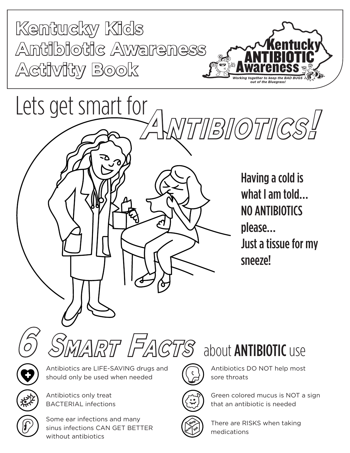





Antibiotics are LIFE-SAVING drugs and should only be used when needed **6 Smart Facts** about ANTIBIOTIC use



Antibiotics only treat BACTERIAL infections

Some ear infections and many sinus infections CAN GET BETTER without antibiotics



Antibiotics DO NOT help most sore throats



**Allergy** Green colored mucus is NOT a sign **Rash Diarrhea** that an antibiotic is needed



There are RISKS when taking medications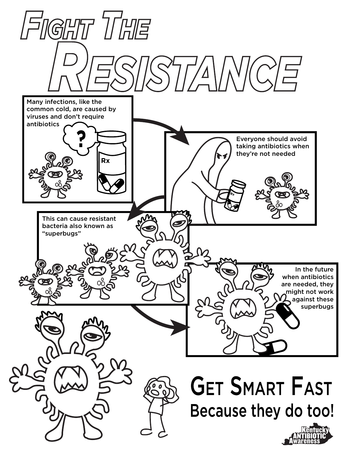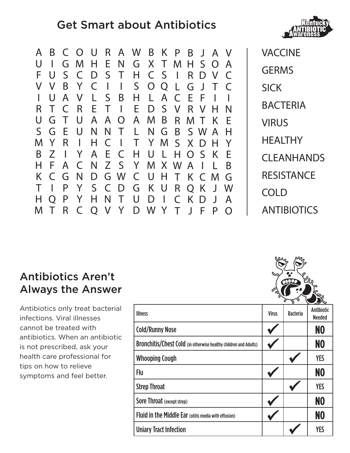## Get Smart about Antibiotics



| A           | B             |              |              |              |                |              | C O U R A W B       |          |              | K P          |                 |         | BJAV         |              |  |
|-------------|---------------|--------------|--------------|--------------|----------------|--------------|---------------------|----------|--------------|--------------|-----------------|---------|--------------|--------------|--|
| U           |               | G            | M            | Н            | E.             | N            |                     | G X T    |              | M            |                 | H S O   |              | $\mathsf{A}$ |  |
| F           | $\bigcup$     | $S_{-}$      | $\mathsf{C}$ |              | D S T          |              | H.                  |          |              | $CS$ $\vert$ | $R_{\parallel}$ |         | D V          | C            |  |
| V           | - V           | B.           | Y C          |              | $\mathbb{R}^3$ | $\mathbf{I}$ | $\mathsf{S}$        |          |              | OQLGJT       |                 |         |              |              |  |
| L           | U             | $\mathsf{A}$ | V            |              | L S            | B            | H.                  | L        | $\mathsf{A}$ | $\mathsf{C}$ | E.              | -F      | $\mathbf{I}$ |              |  |
| R           |               | $\mathsf{C}$ | R.           | E            |                |              | TIEDS               |          |              | V R V H      |                 |         |              | N            |  |
| U           | G             | $\top$       | U            |              |                | A A O        |                     | A M      | B            | $R_{\perp}$  |                 | M T K   |              | E            |  |
| $S_{\cdot}$ | G             | E            | $\bigcup$    | N            | N              | $\top$       | $\mathsf{L}$        |          | N G          | B            |                 | SWA     |              | $\mathsf{H}$ |  |
| M           | $\mathsf{Y}$  | R            | $\mathbf{L}$ |              |                |              | H C I T Y M S X D H |          |              |              |                 |         |              | $\mathsf{Y}$ |  |
| B           | Z             | $\mathbb{R}$ | Y            | $\mathsf{A}$ |                | E C          |                     | HUL      |              | HOSK         |                 |         |              | E            |  |
| H           | F.            | $\mathsf{A}$ | $\mathsf{C}$ | N            |                |              | Z S Y M X W A I     |          |              |              |                 |         |              | B            |  |
| K           | $\mathcal{C}$ | G            | $\mathsf{N}$ |              |                |              | D G W C U H T K C M |          |              |              |                 |         |              | G            |  |
|             |               | P            |              |              |                |              | Y S C D G K U       |          |              |              |                 | R Q K J |              | W            |  |
| H           | O             | P            | Y            | H.           | N              | $\top$       | $\bigcup$           | $D \mid$ |              | $\mathsf{C}$ | $\mathsf{K}$    | D       | J            | $\mathsf{A}$ |  |
| M           |               | R            | $\mathsf{C}$ |              |                | O V Y        |                     | D W Y    |              | $T \cup$     |                 | - F     |              | $\Omega$     |  |

VACCINE **GERMS** SICK **BACTERIA** VIRUS **HEALTHY** CLEANHANDS **RESISTANCE** COLD **ANTIBIOTICS** 

## Antibiotics Aren't Always the Answer

Antibiotics only treat bacterial infections. Viral illnesses cannot be treated with antibiotics. When an antibiotic is not prescribed, ask your health care professional for tips on how to relieve symptoms and feel better.

|                                                                  |              |                 | - ~ ~                              |
|------------------------------------------------------------------|--------------|-----------------|------------------------------------|
| <b>Illness</b>                                                   | <b>Virus</b> | <b>Bacteria</b> | <b>Antibiotic</b><br><b>Needed</b> |
| <b>Cold/Runny Nose</b>                                           |              |                 | NO                                 |
| Bronchitis/Chest Cold (in otherwise healthy children and Adults) |              |                 | NO                                 |
| <b>Whooping Cough</b>                                            |              |                 | <b>YES</b>                         |
| Flu                                                              |              |                 | N <sub>0</sub>                     |
| <b>Strep Throat</b>                                              |              |                 | <b>YES</b>                         |
| <b>Sore Throat (except strep)</b>                                |              |                 | N <sub>0</sub>                     |
| <b>Fluid in the Middle Ear</b> (otitis media with effusion)      |              |                 | N <sub>0</sub>                     |
| <b>Uniary Tract Infection</b>                                    |              |                 | <b>YES</b>                         |
|                                                                  |              |                 |                                    |

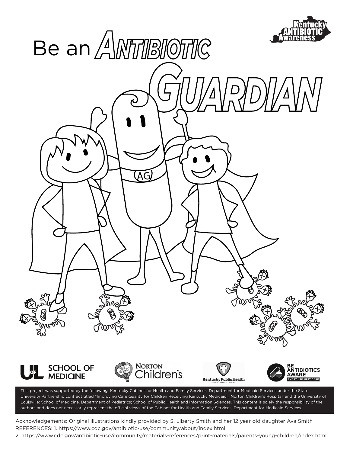

This project was supported by the following: Kentucky Cabinet for Health and Family Services: Department for Medicaid Services under the State University Partnership contract titled "Improving Care Quality for Children Receiving Kentucky Medicaid", Norton Children's Hospital, and the University of Louisville: School of Medicine, Department of Pediatrics; School of Public Health and Information Sciences. This content is solely the responsibility of the authors and does not necessarily represent the official views of the Cabinet for Health and Family Services, Department for Medicaid Services.

Acknowledgements: Original illustrations kindly provided by S. Liberty Smith and her 12 year old daughter Ava Smith REFERENCES: 1. https://www.cdc.gov/antibiotic-use/community/about/index.html

2. https://www.cdc.gov/antibiotic-use/community/materials-references/print-materials/parents-young-children/index.html